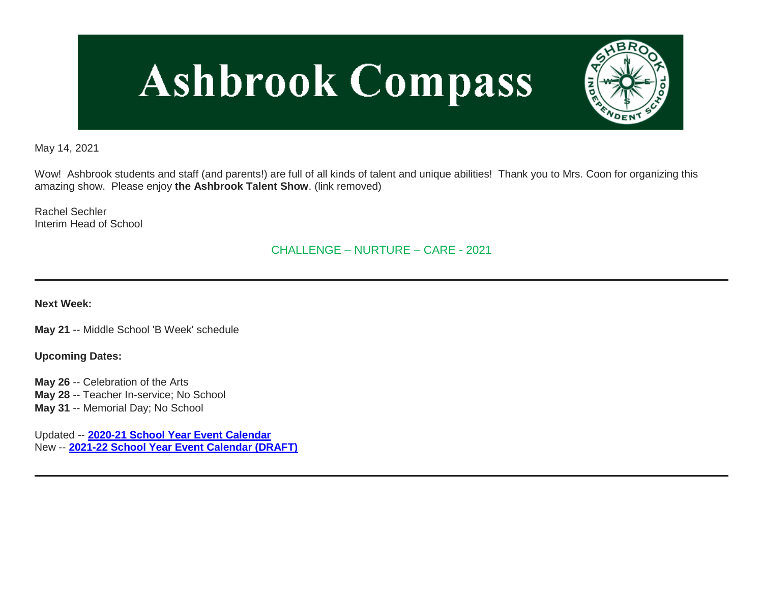# **Ashbrook Compass**



May 14, 2021

Wow! Ashbrook students and staff (and parents!) are full of all kinds of talent and unique abilities! Thank you to Mrs. Coon for organizing this amazing show. Please enjoy **the Ashbrook Talent Show**. (link removed)

Rachel Sechler Interim Head of School

CHALLENGE – NURTURE – CARE - 2021

**Next Week:**

**May 21** -- Middle School 'B Week' schedule

**Upcoming Dates:**

**May 26** -- Celebration of the Arts **May 28** -- Teacher In-service; No School **May 31** -- Memorial Day; No School

Updated -- **[2020-21 School Year Event Calendar](http://link.mystudentsprogress.com/ls/click?upn=t3AI3kjK1Pyk9qPfHnOahelBVVSIlRAa3GeSLMbkINmgHr3guxrPuqfp-2Bh-2FJW4nCZ4g8Gi3XkGXC-2FKATZbsSvlLtGaxynoxi8rg7wuoRjJ9ogb5HbX999Eip-2FZE6wLdBt-2FZXHJBS6zquMLtzN9wyAf-2BwWQPV3rI3lDDknuQ1JHMBzJ8gUYT-2F7YzNEwZY9IsL01sHprQ-2FIDOi-2FxvxQxcWeu-2FLg4DWCvJZy51IrsH8vPbEbNYiaMe7OT-2BYVHBjA6If6Cy7Mms4taffQVXa23QhNsE07HaGgkiu3fqtaJkTJjujoF8geB-2B7yrFJlU-2Bh73cj7oh1KB0ZWcWlNyH4qILVtYy3xahPAyIDi-2FG8GbPIbbMnjHGsyDRcKhRBK01iIs0fWqLDocQrloAUZMJ2oyRRmomJiqxd8x5nm2tsxL6wpP0tqjz-2BRT10Y58FhIoH48TgPplUYhhzJvLEmRSNpyhz5VhooRDAGAW42Jwa7NEBpqdQd1pC7c9i74l-2B7qocqb4NFCx2zNQdMXBq7aPsdV1jBwFOcBoDfD-2BkMY9Q2-2Fz5TM9xC3hN5KM3lImdKPKAuQlU8z9DBnPQ6JHoZkYX6gdK1q2EDnTQzS1hFboCQrgWAPMKvnFvGQ91zsZ3YbPRZrtBTsE8nm0LFctt1l2hLHszorEeN2S9WwA5wgERaD7rVnB33cySZWT-2BioV-2FxoVNhOXSQ-2B9Ak4v5yJ76uEuEAAGsNS-2Bs-2B7xzZZxiJOoOrzyLh68-3DlRR6_1PndbFfBoQGSZbxwXHHEexw3B2F0fG-2BUmuXm6a-2BX-2Bzsz2WQakjzChLfzPQtbxfqvNAQa-2Bk1FDQAV5NXUtSMGafMFXUC6hO7F6nzk9O4QI4izJvwDwD4t0nY8Yd61VuwEc42ycCTGkf4fTyaGZxGiubKr7CarY9hDmNi2VilFlwu-2BhUhPjqGUoUOxmfLPDFqyaEuvJyqSS2UtQGIw2YJ01FhoS9ZX2DXNp74XRYxce7oizsclqaMM3vFrcZpweSs1faLaE6aFlRRM-2Bk4APHGg4OL64R84rPoE2BHMPcnyYnj79uDhgBS1L70rOu1hwQEx3XfaSbm4WlOQrzbBu5IB9x8-2Fs2DSEclkeHLYjZmS1Q4PL-2F9QP9FGQAUFz6z8Yqh5EdvB67Ew0pCJO-2FTVA80LizQigBCveGDbsQD8mkh-2F9ANZ3zXKON6NftDTrabei4of)** New -- **[2021-22 School Year Event Calendar \(DRAFT\)](http://link.mystudentsprogress.com/ls/click?upn=t3AI3kjK1Pyk9qPfHnOahelBVVSIlRAa3GeSLMbkINmgHr3guxrPuqfp-2Bh-2FJW4nCZ4g8Gi3XkGXC-2FKATZbsSvlLtGaxynoxi8rg7wuoRjJ9ogb5HbX999Eip-2FZE6wLdBt-2FZXHJBS6zquMLtzN9wyAf-2BwWQPV3rI3lDDknuQ1JHMBzJ8gUYT-2F7YzNEwZY9IsL01sHprQ-2FIDOi-2FxvxQxcWetx3uPiVsOO-2BTqPctwW7ytf9RkxC1x3UjTIEBtRaqxRocHrr-2BmciBR4-2BJ-2F9FRK9RIbCVijz3zpNIIcd4PIsUMddSSVNBf6Erlmv-2BHBcLMpY-2BXATDQ1ruaOReFDZmWYSBv8U-2FG-2FKOr0yEkAwqSdMzdcQ3gq4Z79RZNOTZP4nGap5-2B4nzc4nIf29OyD3NhvJHQaLkc85sE-2FfYbPaGyyk6H2FOzJRYThJmT37US6LpTrGNlh9HxVTLYe1LpjcNTBXNJsSKlp-2BAa-2BVuGTdE8v33fTt9-2BgR-2BE9tSlDPzhNHxWPZ2RZ535aLRz3SoCCiPZR3EABfh4FMKDRC4z2q-2Bvjvbtim7SOD4kDD2r5XYSDBe4a3bcI5fNds6iRAQWmj3uDnwn3-2B3tKuGNT1JKaRpJXKTgGLzWZLAnNUo4fvdQC77H83vaK-2BM8PCeLuljt-2FRAsnx0cP-2FGdRouESOyMOB5ORkT-2BH-2Bkw4hRRiiTCpe61BsZqpA-2Bu2Yhs_1PndbFfBoQGSZbxwXHHEexw3B2F0fG-2BUmuXm6a-2BX-2Bzsz2WQakjzChLfzPQtbxfqvNAQa-2Bk1FDQAV5NXUtSMGaQL3efCwAQXfcwo1dHJRPUqQMm8-2BCtYsDjFP35e5EUtsEMWzmGS4c-2Fy5ZG-2F2UvQhzPaSAZow62aId7l6dk0wzNJoq3NGaR8MHwKSwIZ-2B-2FhPd43Zax5nNAVa2xU8ZisUCyhewRt3QLROcFo5-2Fn4QUhiVmMjy06MmXMj-2FDDIDDEzEsThWWa4bNjKWJKbmCsn3aTUqZdfNQsDOhlNllBlciyV8BWDEBkCqJGthaX-2FBv4-2BXteoFYJz9NpmTX-2Br04JRAzoPkO8vfMLJDZzmCeQCeWXOKl57fYhWqUfy-2FLYl6U-2F6vR9AMunazo-2FtreT7zIdUZ1PAIa1p6ueL4JT7M2xx25tedUXLqrsbKfRkY-2BI2ipShQ1)**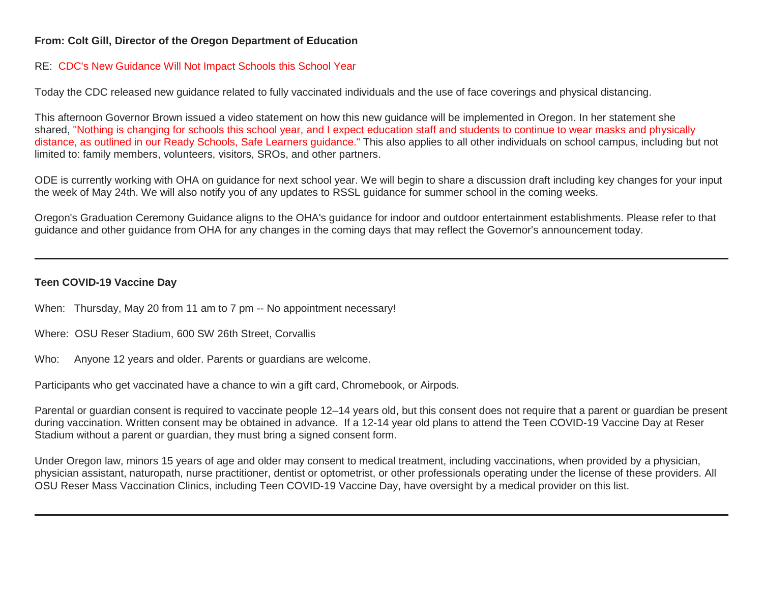# **From: Colt Gill, Director of the Oregon Department of Education**

#### RE: CDC's New Guidance Will Not Impact Schools this School Year

Today the CDC released new guidance related to fully vaccinated individuals and the use of face coverings and physical distancing.

This afternoon Governor Brown issued a video statement on how this new guidance will be implemented in Oregon. In her statement she shared, "Nothing is changing for schools this school year, and I expect education staff and students to continue to wear masks and physically distance, as outlined in our Ready Schools, Safe Learners guidance." This also applies to all other individuals on school campus, including but not limited to: family members, volunteers, visitors, SROs, and other partners.

ODE is currently working with OHA on guidance for next school year. We will begin to share a discussion draft including key changes for your input the week of May 24th. We will also notify you of any updates to RSSL guidance for summer school in the coming weeks.

Oregon's Graduation Ceremony Guidance aligns to the OHA's guidance for indoor and outdoor entertainment establishments. Please refer to that guidance and other guidance from OHA for any changes in the coming days that may reflect the Governor's announcement today.

# **Teen COVID-19 Vaccine Day**

When: Thursday, May 20 from 11 am to 7 pm -- No appointment necessary!

Where: OSU Reser Stadium, 600 SW 26th Street, Corvallis

Who: Anyone 12 years and older. Parents or guardians are welcome.

Participants who get vaccinated have a chance to win a gift card, Chromebook, or Airpods.

Parental or guardian consent is required to vaccinate people 12–14 years old, but this consent does not require that a parent or guardian be present during vaccination. Written consent may be obtained in advance. If a 12-14 year old plans to attend the Teen COVID-19 Vaccine Day at Reser Stadium without a parent or guardian, they must bring a signed consent form.

Under Oregon law, minors 15 years of age and older may consent to medical treatment, including vaccinations, when provided by a physician, physician assistant, naturopath, nurse practitioner, dentist or optometrist, or other professionals operating under the license of these providers. All OSU Reser Mass Vaccination Clinics, including Teen COVID-19 Vaccine Day, have oversight by a medical provider on this list.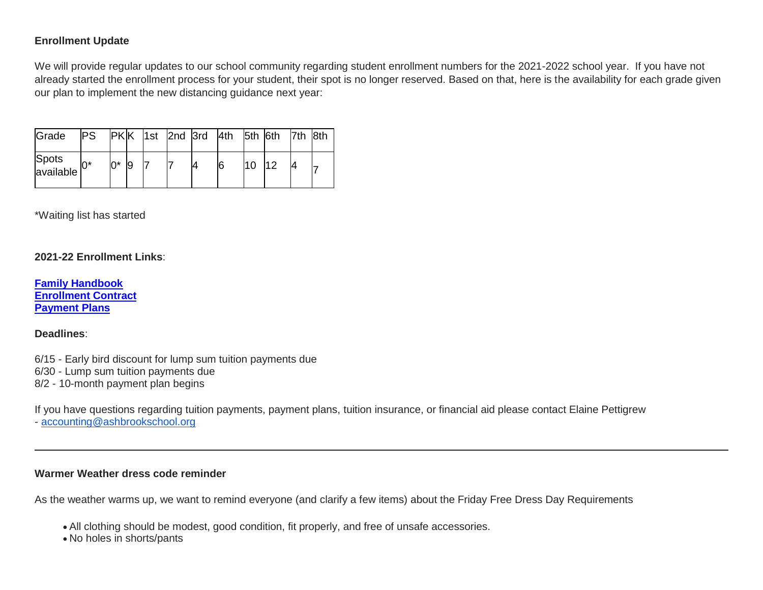# **Enrollment Update**

We will provide regular updates to our school community regarding student enrollment numbers for the 2021-2022 school year. If you have not already started the enrollment process for your student, their spot is no longer reserved. Based on that, here is the availability for each grade given our plan to implement the new distancing guidance next year:

| Grade              | <b>PS</b> |       |  |  | PK K  1st  2nd  3rd  4th  5th  6th  7th  8th |     |     |  |
|--------------------|-----------|-------|--|--|----------------------------------------------|-----|-----|--|
| Spots<br>available | $0^*$     | $0^*$ |  |  | 6                                            | l10 | 112 |  |

\*Waiting list has started

#### **2021-22 Enrollment Links**:

**[Family Handbook](http://link.mystudentsprogress.com/ls/click?upn=n7jYKe39nC4PrVAw2BzaOolgU5XUleaJ61qfvNJxTW3uoi8RFzNYUfSc1qXdqajA34djZWrxIBJBxzp2whbybvqIYp3dDOkCDgKesziBdCm1u7J5UB6bwQicng-2BhFj8j9ZZ0Lb7IyRpSLLhbS8X-2BNE-2FsFTu5auQ5tTHoLi9o48o-3DJZZS_1PndbFfBoQGSZbxwXHHEexw3B2F0fG-2BUmuXm6a-2BX-2Bzsz2WQakjzChLfzPQtbxfqvNAQa-2Bk1FDQAV5NXUtSMGaamdaTe3yz4otlu5W6H761eqCSd-2BJIOrHVuQyXzUzzkibNbuslpESfrdi0pgWmhtktm-2FaWKrik6JNmc0hy0r426vbB53ijqiYDRmb6ur8HKmakJPxARx0m-2BJUcTO2eh0OiLejVEbXgBItPjAIOVvqxySfPj7J6sNU7pWFdBlhV4Wq1xpVLM1GYhliTiAd3l-2Fuey7Wj14wgsBQ94-2FC9vc-2BUZ-2FPSjofEuWsy6iD3dA6WSoI8bXDxJ2VuxOVItndi9RMNWxydpFuQSfnyC1NvxAss4dDnM8jKwnEqBJMnWDboPyXip3d1Q6Ro0MR5bMk-2FIE-2BCuqK2JdWzeHSVVc-2FVQBynrWvXLxYrg1JSMnGpEIbZnb) [Enrollment Contract](http://link.mystudentsprogress.com/ls/click?upn=VTTLfIwNu5QFy05N-2BXKA7MM5XZ-2FaPNghD0e589AKGRWdKrXyK6-2Bm8bb1I1DfT5Io0Hv1qAH8mdM37znR5vOcFGB7DIQx2jp4xdjBwuqeZxT1Pjkge-2BjWLaV97kHLeMz5TQtiyRq8-2FrZ-2FtIkmMJcnCvTSbyF8-2BEnMtFIKrlq0nbyYLhMWqtk6N17cNuWkmBCi2eg-2FDcyJo-2FZoHU6aac7YTMbLoqiYM-2Bpq5ghj-2BCMqt1Q-3D78re_1PndbFfBoQGSZbxwXHHEexw3B2F0fG-2BUmuXm6a-2BX-2Bzsz2WQakjzChLfzPQtbxfqvNAQa-2Bk1FDQAV5NXUtSMGaQL6rhQKaUsz8Bdx3tozxN6R5QwW-2F3PPGA0dMfFuT4DSB-2FDJMSjV3rlO3-2BmVmqqBFIk1YDm61EvACWwzkavGSjgB36Z89XY46NCE1SYOcdO9kzCkSyM0-2BwpypzgHnXIZMwYTg50FRVUWNOJCj31npFebTXgMaFGIIhjF6JRqlBdJQyU3LfnVvBkg0lIvaDIV2MF1D3SIrJZYBodr9vWEr6vjyGSG-2BZO8NVeajnuG38B3LZ1zL8sjvyNtcd2JGTTS0T-2FCtRjwshLv9W-2ByAAZ5-2FJTylaqHmNvZv0AA-2Bw0-2BtXh5G6efcufsZeTupILHfHB8iwt5G-2Fsk1XuE0ZFVwSvsxndVH8n-2FA3sCDgobHHZgSlte) [Payment Plans](http://link.mystudentsprogress.com/ls/click?upn=n7jYKe39nC4PrVAw2BzaOolgU5XUleaJ61qfvNJxTW3uoi8RFzNYUfSc1qXdqajA34djZWrxIBJBxzp2whbybvqIYp3dDOkCDgKesziBdClkeFpPmgMGrgcxNe5TC96odu91tl93IdUb7rzqL2LYFkOwDdym2keCOp3gkw-2Fos5E-3D0Lwo_1PndbFfBoQGSZbxwXHHEexw3B2F0fG-2BUmuXm6a-2BX-2Bzsz2WQakjzChLfzPQtbxfqvNAQa-2Bk1FDQAV5NXUtSMGaffquE9o4k9-2FT4m2x5xkB-2FRin82qyBUwffz8AuQAurpzH6bkrlVy-2Bl-2FTD7nwJw1HOt0c5TkntwK3f-2FX7XpvNNk7jxKGABR2QAaiVmXwPkTp6xhCQKw7VbtquNBQ6Lsmax9hcEyQa8t5tT0UiEhROpf9ywZE2aPeS0Qvpr-2B3hFL4ltqoroBYPpi7jTiFFO1QKvjoij6KvS18pC-2FnaJKVGUfQYJMg6FLsNFb79OGxxLJMaizU-2FtglGEfqAc7EmNFGJzSfJ2HXdwU-2FyA3TFvKA4icPXklBOonwpa-2BAU-2B9SmpVrurFrTCqe2i31HTWXa8s79E-2FStAchC-2FsgwpoCM7P5tDhohXxFopWR5RthUWZG-2B9pcs)**

#### **Deadlines**:

6/15 - Early bird discount for lump sum tuition payments due

6/30 - Lump sum tuition payments due

8/2 - 10-month payment plan begins

If you have questions regarding tuition payments, payment plans, tuition insurance, or financial aid please contact Elaine Pettigrew

- [accounting@ashbrookschool.org](mailto:accounting@ashbrookschool.org)

#### **Warmer Weather dress code reminder**

As the weather warms up, we want to remind everyone (and clarify a few items) about the Friday Free Dress Day Requirements

All clothing should be modest, good condition, fit properly, and free of unsafe accessories.

No holes in shorts/pants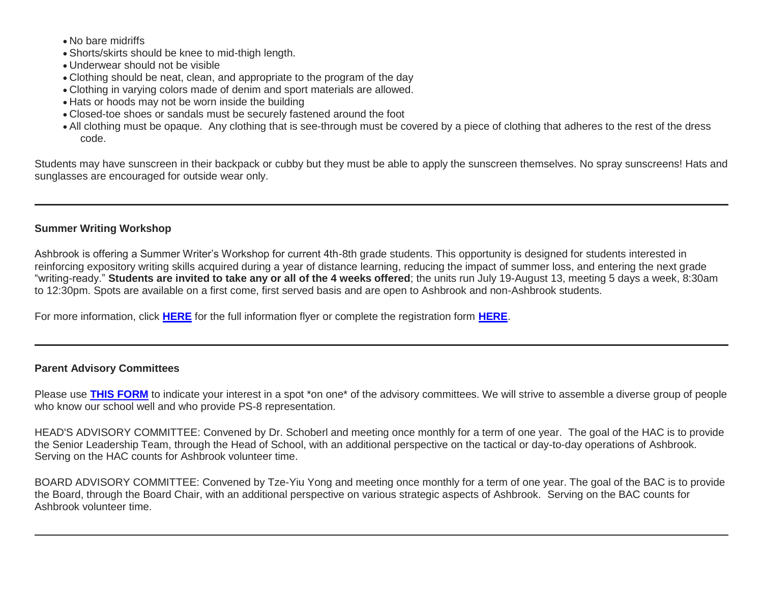- No bare midriffs
- Shorts/skirts should be knee to mid-thigh length.
- Underwear should not be visible
- Clothing should be neat, clean, and appropriate to the program of the day
- Clothing in varying colors made of denim and sport materials are allowed.
- Hats or hoods may not be worn inside the building
- Closed-toe shoes or sandals must be securely fastened around the foot
- All clothing must be opaque. Any clothing that is see-through must be covered by a piece of clothing that adheres to the rest of the dress code.

Students may have sunscreen in their backpack or cubby but they must be able to apply the sunscreen themselves. No spray sunscreens! Hats and sunglasses are encouraged for outside wear only.

# **Summer Writing Workshop**

Ashbrook is offering a Summer Writer's Workshop for current 4th-8th grade students. This opportunity is designed for students interested in reinforcing expository writing skills acquired during a year of distance learning, reducing the impact of summer loss, and entering the next grade "writing-ready." **Students are invited to take any or all of the 4 weeks offered**; the units run July 19-August 13, meeting 5 days a week, 8:30am to 12:30pm. Spots are available on a first come, first served basis and are open to Ashbrook and non-Ashbrook students.

For more information, click **[HERE](http://link.mystudentsprogress.com/ls/click?upn=n7jYKe39nC4PrVAw2BzaOolgU5XUleaJ61qfvNJxTW3uoi8RFzNYUfSc1qXdqajA34djZWrxIBJBxzp2whbybvqIYp3dDOkCDgKesziBdCmUFK611Dwx09bu-2FHGeGjMdYMdlKOkEJljN4aGLHb-2FYq2T0mejVJ9zz4sJVp9uFP1r-2FqIIxALPi9YeUjY-2FEHo0ARxdS_1PndbFfBoQGSZbxwXHHEexw3B2F0fG-2BUmuXm6a-2BX-2Bzsz2WQakjzChLfzPQtbxfqvNAQa-2Bk1FDQAV5NXUtSMGadMvj-2FyqxEOF-2FKQb9NkIaIGmkg-2FhVskSLa0cojPwNmH3cb9UMWZeK7aeTCdQKjMRD5vArHRIOOeviVl-2FSZwwg02A-2BNPOU04leX5c-2FrTI-2B267TcW2P8-2FJLxRbBz4lrDxlKjVSvAMZfTWpFhl6AYjLl-2FXoeFqD9OzYynGwb07PWXBhD4mORgmL6O2lIo-2FoZQoZhNWSuqN0ewyHICWSgnZuhwcwhPzdZTw0S80AFDxOodkIawqgxDZnqh2Sa5s4XEp475-2FPRL9ftEwljs3qSoXf5LdPddEKCbsagL1Mcm0WqAe013FjI91jmQBgcl5xz8KKr87mCQxmxJVhL-2Fojzit-2F80Ar1v0158Yr6Z7KWTLp9pvA)** for the full information flyer or complete the registration form **[HERE](http://link.mystudentsprogress.com/ls/click?upn=qkro44VJaETWQ07zA-2B-2FiE0363Dmsi-2F5FxyhrW5Y7wr4-3D-j_2_1PndbFfBoQGSZbxwXHHEexw3B2F0fG-2BUmuXm6a-2BX-2Bzsz2WQakjzChLfzPQtbxfqvNAQa-2Bk1FDQAV5NXUtSMGac55a4Rn9y50mszDBQp3YjDV4gKyLGFk3ev58-2FMiLXZuQb-2F0vRPgzKeWSU5iu6fNzD6FAfdokXgMlC8VIgZNlbPsPnn9ePxSsCDztyWly5JeE-2BG5rPtAEQYJo3sdWaTR0-2FmoV4PHqi9gI-2Bk47xB46gm2Ebw80eu0gazqRrz82hxcfpuitS7XFVmgiTsWLUXqbxWLR2lhTgcQl-2BLYn9EarAMdH5XwTO-2B85Ifd0nujkumiHbiL0sed3pWRi-2BiQsSDxDHZPw-2B0YTKBUnV-2BIU-2Frkh7IAetLvbW3g8RWY8reZutLd3vHadXqSVJoaDp7-2BYuAG0blQ1wRXbBUiQvubmDB3sSjUD3b2PmeyR10-2FRJdE6wt4)**.

# **Parent Advisory Committees**

Please use **[THIS FORM](http://link.mystudentsprogress.com/ls/click?upn=VpBe6Z9t6RkEC4qAoQCeri-2FFFh7llDqKppeMq4GAyjRWQxckQw26M-2Bv6Io9sYjjz4z-2FsFat4W1gTrNdlaCA-2Bndeh09PVfGi5cnvsKjjo4-2FiBko-2FuvDSeRzeHuMiowAeTH-2FrUjIO6vJRMhpVYJdhm-2FQ-3D-3DSBtN_1PndbFfBoQGSZbxwXHHEexw3B2F0fG-2BUmuXm6a-2BX-2Bzsz2WQakjzChLfzPQtbxfqvNAQa-2Bk1FDQAV5NXUtSMGaXpSogB-2BwqbXmqo3vRtC5f7EeVvZxvJe8c-2F75NWYuSEaL-2BHPh7czS2S9OPdpBR8KVG1kW4B4FUfKGH56FuQGcdqAOmOaifHJJURqJf60ZCZbR3Vi2CaS4FU2K7MHHvPxSCf-2FI6OZm-2FpwxLnwtv-2FT-2BZh2WOiWXEzZyFGkZilO5uk5wM3ml-2FMKkRPVoEGNHCxH60-2BvZuEzWThnyCWlqHoOZ6KyoPYdFolPh-2BBo1cK2n5deYcAlU91P5ucBFBWiPEjRJFG86ll8RHooE38CtIf4q1R7n0tCddcvOPb8BedgWPDzD9BOAC2rruGqL8JBZPcxwF9LTA7jhVYFCRL2n-2FShPBuHMKHAVvRHl5q3MQQSeBo5)** to indicate your interest in a spot \*on one\* of the advisory committees. We will strive to assemble a diverse group of people who know our school well and who provide PS-8 representation.

HEAD'S ADVISORY COMMITTEE: Convened by Dr. Schoberl and meeting once monthly for a term of one year. The goal of the HAC is to provide the Senior Leadership Team, through the Head of School, with an additional perspective on the tactical or day-to-day operations of Ashbrook. Serving on the HAC counts for Ashbrook volunteer time.

BOARD ADVISORY COMMITTEE: Convened by Tze-Yiu Yong and meeting once monthly for a term of one year. The goal of the BAC is to provide the Board, through the Board Chair, with an additional perspective on various strategic aspects of Ashbrook. Serving on the BAC counts for Ashbrook volunteer time.